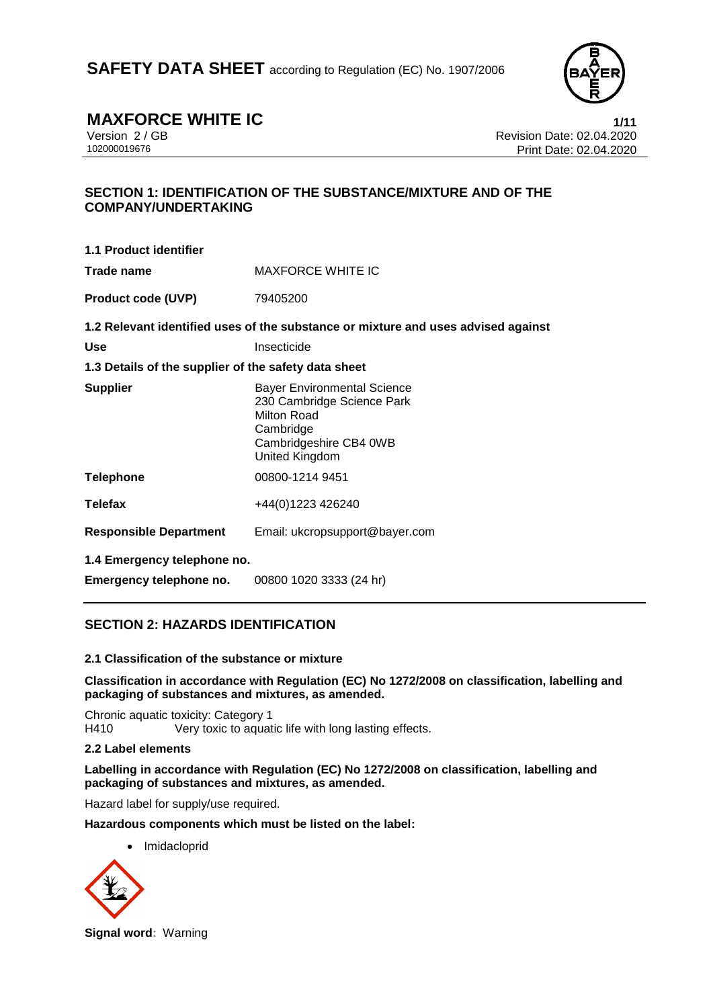

**MAXFORCE WHITE IC**<br>Version 2/GB Version 2/GB Revision Date: 02.04.2020 Version 2 / GB Revision Date: 02.04.2020 Print Date: 02.04.2020

# **SECTION 1: IDENTIFICATION OF THE SUBSTANCE/MIXTURE AND OF THE COMPANY/UNDERTAKING**

| <b>MAXFORCE WHITE IC</b>                                                                                                                 |
|------------------------------------------------------------------------------------------------------------------------------------------|
| 79405200                                                                                                                                 |
| 1.2 Relevant identified uses of the substance or mixture and uses advised against                                                        |
| Insecticide                                                                                                                              |
| 1.3 Details of the supplier of the safety data sheet                                                                                     |
| <b>Bayer Environmental Science</b><br>230 Cambridge Science Park<br>Milton Road<br>Cambridge<br>Cambridgeshire CB4 0WB<br>United Kingdom |
| 00800-1214 9451                                                                                                                          |
| +44(0)1223 426240                                                                                                                        |
| Email: ukcropsupport@bayer.com                                                                                                           |
| 1.4 Emergency telephone no.                                                                                                              |
| 00800 1020 3333 (24 hr)                                                                                                                  |
|                                                                                                                                          |

# **SECTION 2: HAZARDS IDENTIFICATION**

#### **2.1 Classification of the substance or mixture**

**Classification in accordance with Regulation (EC) No 1272/2008 on classification, labelling and packaging of substances and mixtures, as amended.**

Chronic aquatic toxicity: Category 1 H410 Very toxic to aquatic life with long lasting effects.

#### **2.2 Label elements**

**Labelling in accordance with Regulation (EC) No 1272/2008 on classification, labelling and packaging of substances and mixtures, as amended.**

Hazard label for supply/use required.

**Hazardous components which must be listed on the label:**

**Imidacloprid** 



**Signal word:** Warning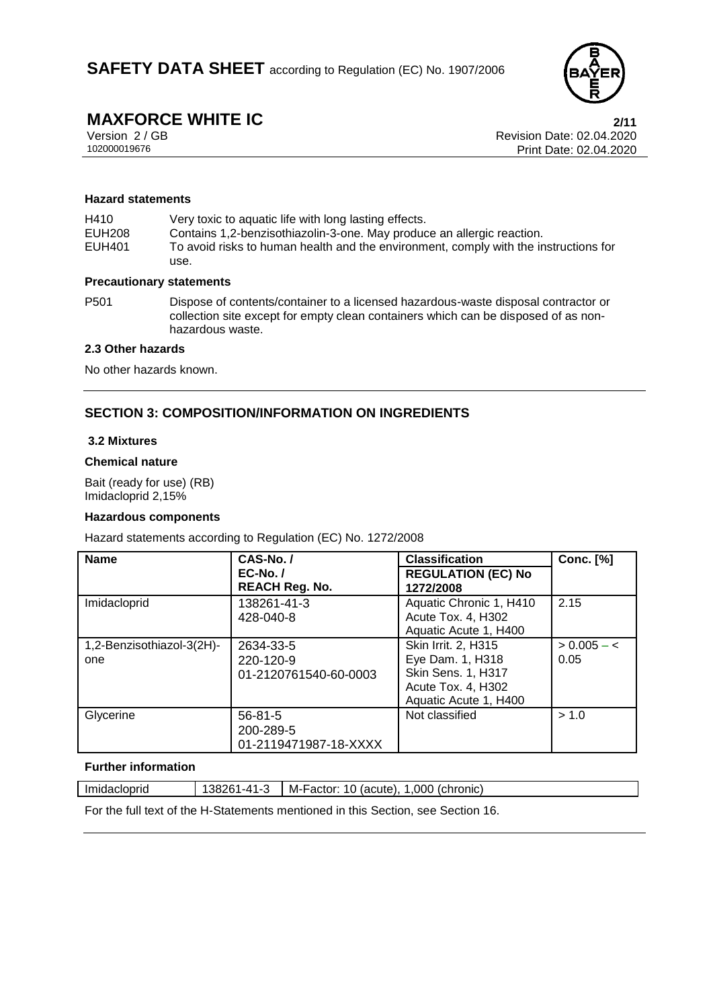

# **MAXFORCE WHITE IC**<br>
Version 2/GB<br>
Revision Date: 02.04.2020

Version 2 / GB Revision Date: 02.04.2020 Print Date: 02.04.2020

#### **Hazard statements**

H410 Very toxic to aquatic life with long lasting effects.<br>EUH208 Contains 1.2-benzisothiazolin-3-one. May produc Contains 1,2-benzisothiazolin-3-one. May produce an allergic reaction. EUH401 To avoid risks to human health and the environment, comply with the instructions for use.

#### **Precautionary statements**

P501 Dispose of contents/container to a licensed hazardous-waste disposal contractor or collection site except for empty clean containers which can be disposed of as nonhazardous waste.

#### **2.3 Other hazards**

No other hazards known.

### **SECTION 3: COMPOSITION/INFORMATION ON INGREDIENTS**

#### **3.2 Mixtures**

#### **Chemical nature**

Bait (ready for use) (RB) Imidacloprid 2,15%

#### **Hazardous components**

Hazard statements according to Regulation (EC) No. 1272/2008

| <b>Name</b>                      | CAS-No./<br>$EC-No. /$<br><b>REACH Reg. No.</b>     | <b>Classification</b><br><b>REGULATION (EC) No</b><br>1272/2008                                              | <b>Conc.</b> [%]      |
|----------------------------------|-----------------------------------------------------|--------------------------------------------------------------------------------------------------------------|-----------------------|
| Imidacloprid                     | 138261-41-3<br>428-040-8                            | Aquatic Chronic 1, H410<br>Acute Tox. 4, H302<br>Aquatic Acute 1, H400                                       | 2.15                  |
| 1,2-Benzisothiazol-3(2H)-<br>one | 2634-33-5<br>220-120-9<br>01-2120761540-60-0003     | Skin Irrit. 2, H315<br>Eye Dam. 1, H318<br>Skin Sens. 1, H317<br>Acute Tox. 4, H302<br>Aquatic Acute 1, H400 | $> 0.005 - c$<br>0.05 |
| Glycerine                        | $56 - 81 - 5$<br>200-289-5<br>01-2119471987-18-XXXX | Not classified                                                                                               | > 1.0                 |

#### **Further information**

| Imidacloprid | 138261-41-3 | $M-Factor: 10$ (acute), 1,000 (chronic) |  |  |  |
|--------------|-------------|-----------------------------------------|--|--|--|
|--------------|-------------|-----------------------------------------|--|--|--|

For the full text of the H-Statements mentioned in this Section, see Section 16.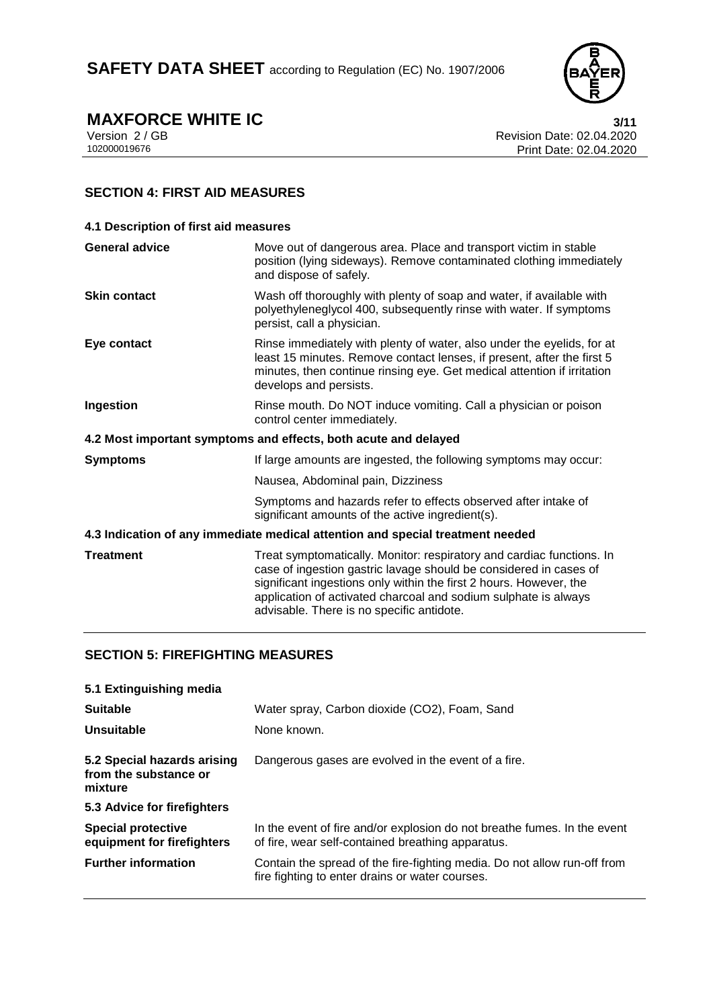

**MAXFORCE WHITE IC** 3/11<br>Version 2/GB 88 and 2020 Version 2 / GB Revision Date: 02.04.2020 Print Date: 02.04.2020

# **SECTION 4: FIRST AID MEASURES**

| 4.1 Description of first aid measures                                          |                                                                                                                                                                                                                                                                                                                                  |  |
|--------------------------------------------------------------------------------|----------------------------------------------------------------------------------------------------------------------------------------------------------------------------------------------------------------------------------------------------------------------------------------------------------------------------------|--|
| <b>General advice</b>                                                          | Move out of dangerous area. Place and transport victim in stable<br>position (lying sideways). Remove contaminated clothing immediately<br>and dispose of safely.                                                                                                                                                                |  |
| <b>Skin contact</b>                                                            | Wash off thoroughly with plenty of soap and water, if available with<br>polyethyleneglycol 400, subsequently rinse with water. If symptoms<br>persist, call a physician.                                                                                                                                                         |  |
| Eye contact                                                                    | Rinse immediately with plenty of water, also under the eyelids, for at<br>least 15 minutes. Remove contact lenses, if present, after the first 5<br>minutes, then continue rinsing eye. Get medical attention if irritation<br>develops and persists.                                                                            |  |
| Ingestion                                                                      | Rinse mouth. Do NOT induce vomiting. Call a physician or poison<br>control center immediately.                                                                                                                                                                                                                                   |  |
| 4.2 Most important symptoms and effects, both acute and delayed                |                                                                                                                                                                                                                                                                                                                                  |  |
| <b>Symptoms</b>                                                                | If large amounts are ingested, the following symptoms may occur:                                                                                                                                                                                                                                                                 |  |
|                                                                                | Nausea, Abdominal pain, Dizziness                                                                                                                                                                                                                                                                                                |  |
|                                                                                | Symptoms and hazards refer to effects observed after intake of<br>significant amounts of the active ingredient(s).                                                                                                                                                                                                               |  |
| 4.3 Indication of any immediate medical attention and special treatment needed |                                                                                                                                                                                                                                                                                                                                  |  |
| <b>Treatment</b>                                                               | Treat symptomatically. Monitor: respiratory and cardiac functions. In<br>case of ingestion gastric lavage should be considered in cases of<br>significant ingestions only within the first 2 hours. However, the<br>application of activated charcoal and sodium sulphate is always<br>advisable. There is no specific antidote. |  |

# **SECTION 5: FIREFIGHTING MEASURES**

| 5.1 Extinguishing media                                         |                                                                                                                               |
|-----------------------------------------------------------------|-------------------------------------------------------------------------------------------------------------------------------|
| <b>Suitable</b>                                                 | Water spray, Carbon dioxide (CO2), Foam, Sand                                                                                 |
| Unsuitable                                                      | None known.                                                                                                                   |
| 5.2 Special hazards arising<br>from the substance or<br>mixture | Dangerous gases are evolved in the event of a fire.                                                                           |
| 5.3 Advice for firefighters                                     |                                                                                                                               |
| <b>Special protective</b><br>equipment for firefighters         | In the event of fire and/or explosion do not breathe fumes. In the event<br>of fire, wear self-contained breathing apparatus. |
| <b>Further information</b>                                      | Contain the spread of the fire-fighting media. Do not allow run-off from<br>fire fighting to enter drains or water courses.   |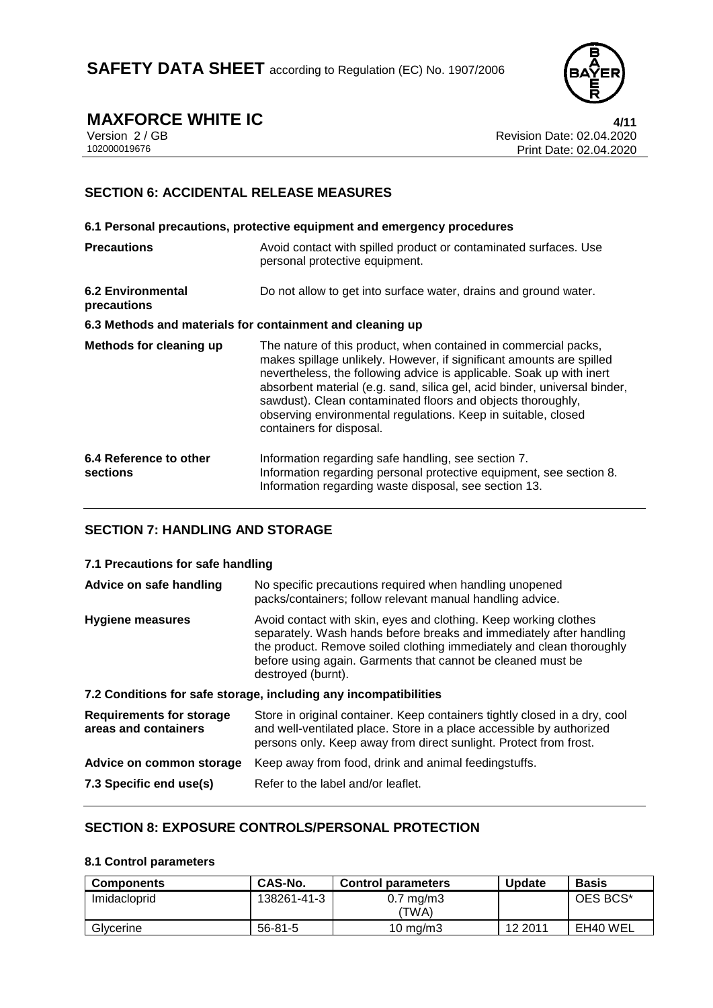

# **MAXFORCE WHITE IC**<br>Version 2/GB **1/11**<br>Revision Date: 02.04.2020

Version 2 / GB Revision Date: 02.04.2020 Print Date: 02.04.2020

# **SECTION 6: ACCIDENTAL RELEASE MEASURES**

|                                                           | 6.1 Personal precautions, protective equipment and emergency procedures                                                                                                                                                                                                                                                                                                                                                                                  |
|-----------------------------------------------------------|----------------------------------------------------------------------------------------------------------------------------------------------------------------------------------------------------------------------------------------------------------------------------------------------------------------------------------------------------------------------------------------------------------------------------------------------------------|
| <b>Precautions</b>                                        | Avoid contact with spilled product or contaminated surfaces. Use<br>personal protective equipment.                                                                                                                                                                                                                                                                                                                                                       |
| <b>6.2 Environmental</b><br>precautions                   | Do not allow to get into surface water, drains and ground water.                                                                                                                                                                                                                                                                                                                                                                                         |
| 6.3 Methods and materials for containment and cleaning up |                                                                                                                                                                                                                                                                                                                                                                                                                                                          |
| <b>Methods for cleaning up</b>                            | The nature of this product, when contained in commercial packs,<br>makes spillage unlikely. However, if significant amounts are spilled<br>nevertheless, the following advice is applicable. Soak up with inert<br>absorbent material (e.g. sand, silica gel, acid binder, universal binder,<br>sawdust). Clean contaminated floors and objects thoroughly,<br>observing environmental regulations. Keep in suitable, closed<br>containers for disposal. |
| 6.4 Reference to other<br>sections                        | Information regarding safe handling, see section 7.<br>Information regarding personal protective equipment, see section 8.<br>Information regarding waste disposal, see section 13.                                                                                                                                                                                                                                                                      |

# **SECTION 7: HANDLING AND STORAGE**

#### **7.1 Precautions for safe handling**

| Advice on safe handling                                 | No specific precautions required when handling unopened<br>packs/containers; follow relevant manual handling advice.                                                                                                                                                                                 |
|---------------------------------------------------------|------------------------------------------------------------------------------------------------------------------------------------------------------------------------------------------------------------------------------------------------------------------------------------------------------|
| <b>Hygiene measures</b>                                 | Avoid contact with skin, eyes and clothing. Keep working clothes<br>separately. Wash hands before breaks and immediately after handling<br>the product. Remove soiled clothing immediately and clean thoroughly<br>before using again. Garments that cannot be cleaned must be<br>destroyed (burnt). |
|                                                         | 7.2 Conditions for safe storage, including any incompatibilities                                                                                                                                                                                                                                     |
| <b>Requirements for storage</b><br>areas and containers | Store in original container. Keep containers tightly closed in a dry, cool<br>and well-ventilated place. Store in a place accessible by authorized<br>persons only. Keep away from direct sunlight. Protect from frost.                                                                              |
| Advice on common storage                                | Keep away from food, drink and animal feedingstuffs.                                                                                                                                                                                                                                                 |
| 7.3 Specific end use(s)                                 | Refer to the label and/or leaflet.                                                                                                                                                                                                                                                                   |

### **SECTION 8: EXPOSURE CONTROLS/PERSONAL PROTECTION**

#### **8.1 Control parameters**

| <b>Components</b> | <b>CAS-No.</b> | <b>Control parameters</b>     | <b>Update</b> | <b>Basis</b> |
|-------------------|----------------|-------------------------------|---------------|--------------|
| Imidacloprid      | 138261-41-3    | $0.7 \text{ mg/m}$ 3<br>'TWA) |               | OES BCS*     |
| Glycerine         | $56 - 81 - 5$  | $10 \text{ mg/m}$             | 12 2011       | EH40 WEL     |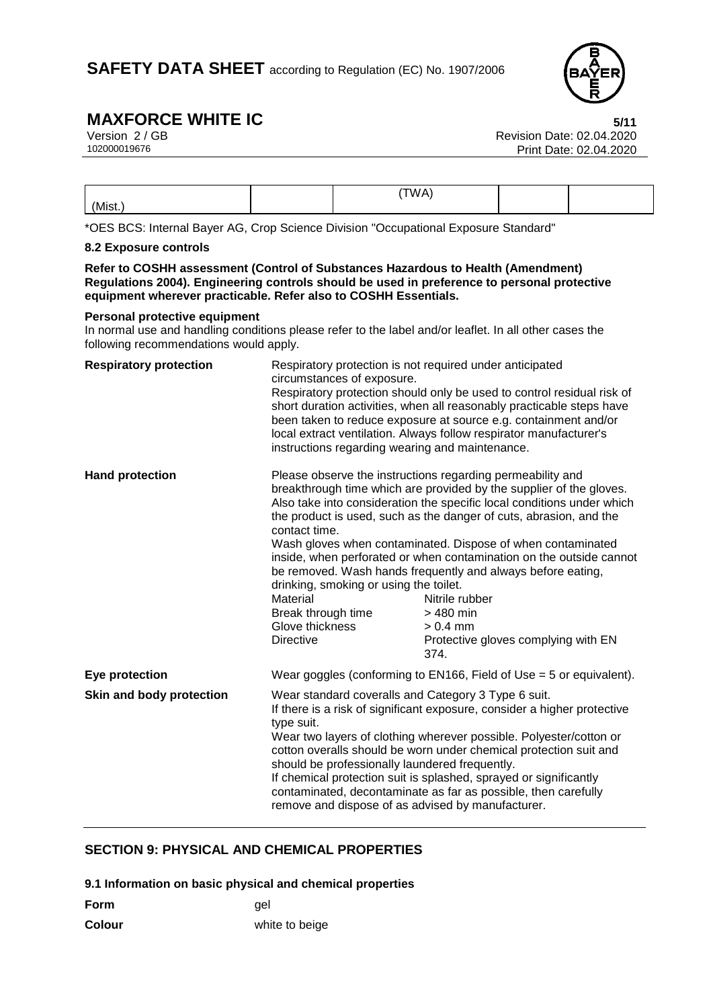

# **MAXFORCE WHITE IC**<br>Version 2 / GB **6/11**<br>Revision Date: 02.04.2020

|       | TWA |  |
|-------|-----|--|
| (Mist |     |  |

\*OES BCS: Internal Bayer AG, Crop Science Division "Occupational Exposure Standard"

#### **8.2 Exposure controls**

**Refer to COSHH assessment (Control of Substances Hazardous to Health (Amendment) Regulations 2004). Engineering controls should be used in preference to personal protective equipment wherever practicable. Refer also to COSHH Essentials.**

#### **Personal protective equipment**

In normal use and handling conditions please refer to the label and/or leaflet. In all other cases the following recommendations would apply.

| <b>Respiratory protection</b> | Respiratory protection is not required under anticipated<br>circumstances of exposure.<br>instructions regarding wearing and maintenance.                                                                                                                                                                                                                                                                                                                                                                                              | Respiratory protection should only be used to control residual risk of<br>short duration activities, when all reasonably practicable steps have<br>been taken to reduce exposure at source e.g. containment and/or<br>local extract ventilation. Always follow respirator manufacturer's                                                                                                                                                                                                                                                                                           |
|-------------------------------|----------------------------------------------------------------------------------------------------------------------------------------------------------------------------------------------------------------------------------------------------------------------------------------------------------------------------------------------------------------------------------------------------------------------------------------------------------------------------------------------------------------------------------------|------------------------------------------------------------------------------------------------------------------------------------------------------------------------------------------------------------------------------------------------------------------------------------------------------------------------------------------------------------------------------------------------------------------------------------------------------------------------------------------------------------------------------------------------------------------------------------|
| <b>Hand protection</b>        | contact time.<br>drinking, smoking or using the toilet.<br>Material<br>Break through time<br>Glove thickness<br><b>Directive</b>                                                                                                                                                                                                                                                                                                                                                                                                       | Please observe the instructions regarding permeability and<br>breakthrough time which are provided by the supplier of the gloves.<br>Also take into consideration the specific local conditions under which<br>the product is used, such as the danger of cuts, abrasion, and the<br>Wash gloves when contaminated. Dispose of when contaminated<br>inside, when perforated or when contamination on the outside cannot<br>be removed. Wash hands frequently and always before eating,<br>Nitrile rubber<br>> 480 min<br>$> 0.4$ mm<br>Protective gloves complying with EN<br>374. |
| Eye protection                |                                                                                                                                                                                                                                                                                                                                                                                                                                                                                                                                        | Wear goggles (conforming to EN166, Field of Use $=$ 5 or equivalent).                                                                                                                                                                                                                                                                                                                                                                                                                                                                                                              |
| Skin and body protection      | Wear standard coveralls and Category 3 Type 6 suit.<br>If there is a risk of significant exposure, consider a higher protective<br>type suit.<br>Wear two layers of clothing wherever possible. Polyester/cotton or<br>cotton overalls should be worn under chemical protection suit and<br>should be professionally laundered frequently.<br>If chemical protection suit is splashed, sprayed or significantly<br>contaminated, decontaminate as far as possible, then carefully<br>remove and dispose of as advised by manufacturer. |                                                                                                                                                                                                                                                                                                                                                                                                                                                                                                                                                                                    |

### **SECTION 9: PHYSICAL AND CHEMICAL PROPERTIES**

**9.1 Information on basic physical and chemical properties**

| Form | gel |
|------|-----|
|      |     |

**Colour** white to beige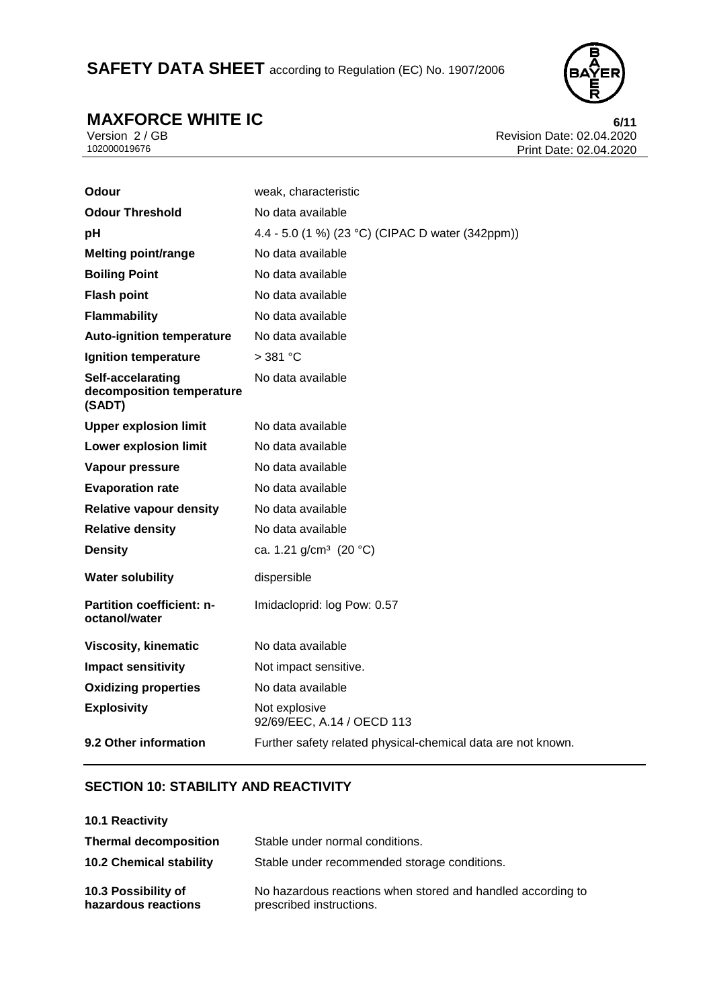# SAFETY DATA SHEET according to Regulation (EC) No. 1907/2006



**MAXFORCE WHITE IC**<br>Version 2/GB<br>Revision Date: 02.04.2020 Version 2 / GB Revision Date: 02.04.2020 Print Date: 02.04.2020

| Odour                                                    | weak, characteristic                                         |
|----------------------------------------------------------|--------------------------------------------------------------|
| <b>Odour Threshold</b>                                   | No data available                                            |
| рH                                                       | 4.4 - 5.0 (1 %) (23 °C) (CIPAC D water (342ppm))             |
| <b>Melting point/range</b>                               | No data available                                            |
| <b>Boiling Point</b>                                     | No data available                                            |
| <b>Flash point</b>                                       | No data available                                            |
| <b>Flammability</b>                                      | No data available                                            |
| <b>Auto-ignition temperature</b>                         | No data available                                            |
| Ignition temperature                                     | $>$ 381 °C                                                   |
| Self-accelarating<br>decomposition temperature<br>(SADT) | No data available                                            |
| <b>Upper explosion limit</b>                             | No data available                                            |
| <b>Lower explosion limit</b>                             | No data available                                            |
| Vapour pressure                                          | No data available                                            |
| <b>Evaporation rate</b>                                  | No data available                                            |
| <b>Relative vapour density</b>                           | No data available                                            |
| <b>Relative density</b>                                  | No data available                                            |
| <b>Density</b>                                           | ca. 1.21 g/cm <sup>3</sup> (20 °C)                           |
| <b>Water solubility</b>                                  | dispersible                                                  |
| <b>Partition coefficient: n-</b><br>octanol/water        | Imidacloprid: log Pow: 0.57                                  |
| <b>Viscosity, kinematic</b>                              | No data available                                            |
| <b>Impact sensitivity</b>                                | Not impact sensitive.                                        |
| <b>Oxidizing properties</b>                              | No data available                                            |
| <b>Explosivity</b>                                       | Not explosive<br>92/69/EEC, A.14 / OECD 113                  |
| 9.2 Other information                                    | Further safety related physical-chemical data are not known. |

### **SECTION 10: STABILITY AND REACTIVITY**

| 10.1 Reactivity                            |                                                                                         |
|--------------------------------------------|-----------------------------------------------------------------------------------------|
| <b>Thermal decomposition</b>               | Stable under normal conditions.                                                         |
| <b>10.2 Chemical stability</b>             | Stable under recommended storage conditions.                                            |
| 10.3 Possibility of<br>hazardous reactions | No hazardous reactions when stored and handled according to<br>prescribed instructions. |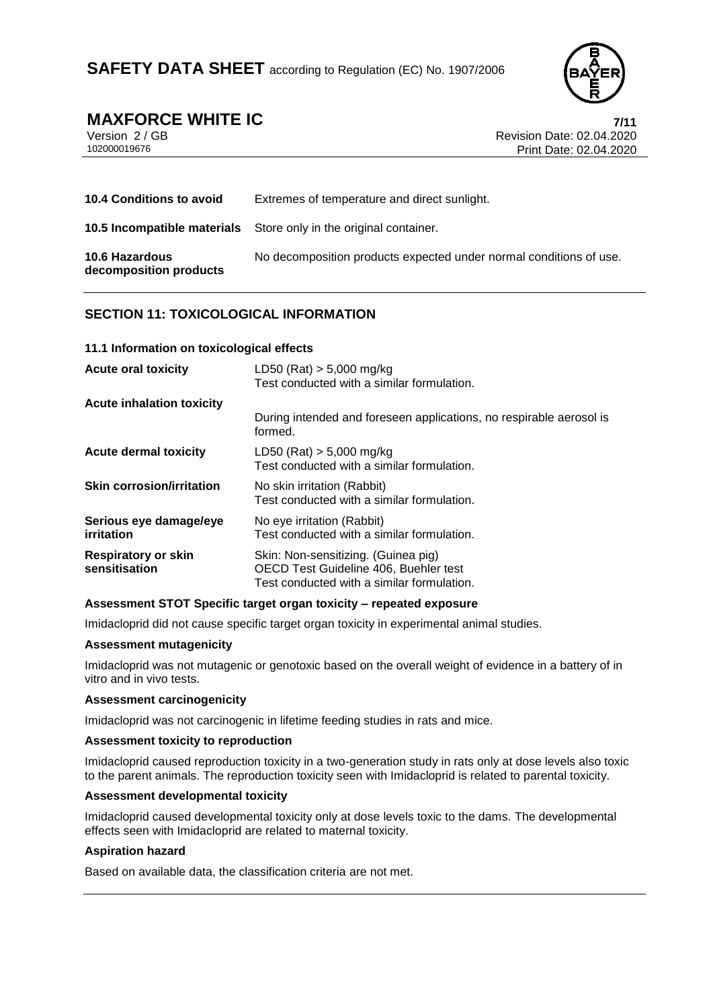

# **MAXFORCE WHITE IC**<br>
Version 2/GB<br>
Revision Date: 02.04.2020

Version 2 / GB Revision Date: 02.04.2020 Print Date: 02.04.2020

| <b>10.4 Conditions to avoid</b>                 | Extremes of temperature and direct sunlight.                             |
|-------------------------------------------------|--------------------------------------------------------------------------|
|                                                 | <b>10.5 Incompatible materials</b> Store only in the original container. |
| <b>10.6 Hazardous</b><br>decomposition products | No decomposition products expected under normal conditions of use.       |

# **SECTION 11: TOXICOLOGICAL INFORMATION**

#### **11.1 Information on toxicological effects**

| <b>Acute oral toxicity</b>                  | LD50 (Rat) $> 5,000$ mg/kg<br>Test conducted with a similar formulation.                                                   |
|---------------------------------------------|----------------------------------------------------------------------------------------------------------------------------|
| <b>Acute inhalation toxicity</b>            |                                                                                                                            |
|                                             | During intended and foreseen applications, no respirable aerosol is<br>formed.                                             |
| Acute dermal toxicity                       | $LD50$ (Rat) $> 5,000$ mg/kg<br>Test conducted with a similar formulation.                                                 |
| <b>Skin corrosion/irritation</b>            | No skin irritation (Rabbit)<br>Test conducted with a similar formulation.                                                  |
| Serious eye damage/eye<br>irritation        | No eye irritation (Rabbit)<br>Test conducted with a similar formulation.                                                   |
| <b>Respiratory or skin</b><br>sensitisation | Skin: Non-sensitizing. (Guinea pig)<br>OECD Test Guideline 406, Buehler test<br>Test conducted with a similar formulation. |

#### **Assessment STOT Specific target organ toxicity – repeated exposure**

Imidacloprid did not cause specific target organ toxicity in experimental animal studies.

#### **Assessment mutagenicity**

Imidacloprid was not mutagenic or genotoxic based on the overall weight of evidence in a battery of in vitro and in vivo tests.

#### **Assessment carcinogenicity**

Imidacloprid was not carcinogenic in lifetime feeding studies in rats and mice.

#### **Assessment toxicity to reproduction**

Imidacloprid caused reproduction toxicity in a two-generation study in rats only at dose levels also toxic to the parent animals. The reproduction toxicity seen with Imidacloprid is related to parental toxicity.

#### **Assessment developmental toxicity**

Imidacloprid caused developmental toxicity only at dose levels toxic to the dams. The developmental effects seen with Imidacloprid are related to maternal toxicity.

#### **Aspiration hazard**

Based on available data, the classification criteria are not met.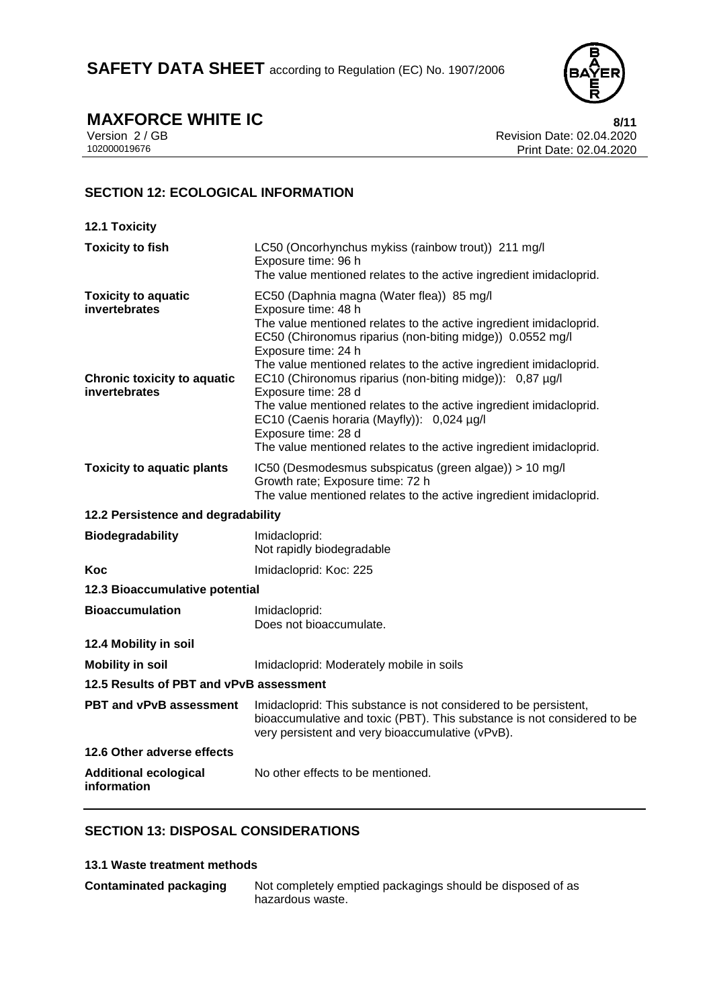

**MAXFORCE WHITE IC**<br>Version 2/GB<br>Revision Date: 02.04.2020 Version 2 / GB Revision Date: 02.04.2020 Print Date: 02.04.2020

# **SECTION 12: ECOLOGICAL INFORMATION**

| 12.1 Toxicity                                       |                                                                                                                                                                                                                                                                                                  |
|-----------------------------------------------------|--------------------------------------------------------------------------------------------------------------------------------------------------------------------------------------------------------------------------------------------------------------------------------------------------|
| <b>Toxicity to fish</b>                             | LC50 (Oncorhynchus mykiss (rainbow trout)) 211 mg/l<br>Exposure time: 96 h<br>The value mentioned relates to the active ingredient imidacloprid.                                                                                                                                                 |
| <b>Toxicity to aquatic</b><br>invertebrates         | EC50 (Daphnia magna (Water flea)) 85 mg/l<br>Exposure time: 48 h<br>The value mentioned relates to the active ingredient imidacloprid.<br>EC50 (Chironomus riparius (non-biting midge)) 0.0552 mg/l<br>Exposure time: 24 h<br>The value mentioned relates to the active ingredient imidacloprid. |
| <b>Chronic toxicity to aquatic</b><br>invertebrates | EC10 (Chironomus riparius (non-biting midge)): 0,87 µg/l<br>Exposure time: 28 d<br>The value mentioned relates to the active ingredient imidacloprid.<br>EC10 (Caenis horaria (Mayfly)): 0,024 µg/l<br>Exposure time: 28 d<br>The value mentioned relates to the active ingredient imidacloprid. |
| <b>Toxicity to aquatic plants</b>                   | IC50 (Desmodesmus subspicatus (green algae)) > 10 mg/l<br>Growth rate; Exposure time: 72 h<br>The value mentioned relates to the active ingredient imidacloprid.                                                                                                                                 |
| 12.2 Persistence and degradability                  |                                                                                                                                                                                                                                                                                                  |
| <b>Biodegradability</b>                             | Imidacloprid:<br>Not rapidly biodegradable                                                                                                                                                                                                                                                       |
| Koc                                                 | Imidacloprid: Koc: 225                                                                                                                                                                                                                                                                           |
| 12.3 Bioaccumulative potential                      |                                                                                                                                                                                                                                                                                                  |
| <b>Bioaccumulation</b>                              | Imidacloprid:<br>Does not bioaccumulate.                                                                                                                                                                                                                                                         |
| 12.4 Mobility in soil                               |                                                                                                                                                                                                                                                                                                  |
| <b>Mobility in soil</b>                             | Imidacloprid: Moderately mobile in soils                                                                                                                                                                                                                                                         |
| 12.5 Results of PBT and vPvB assessment             |                                                                                                                                                                                                                                                                                                  |
| <b>PBT and vPvB assessment</b>                      | Imidacloprid: This substance is not considered to be persistent,<br>bioaccumulative and toxic (PBT). This substance is not considered to be<br>very persistent and very bioaccumulative (vPvB).                                                                                                  |
| 12.6 Other adverse effects                          |                                                                                                                                                                                                                                                                                                  |
| <b>Additional ecological</b><br>information         | No other effects to be mentioned.                                                                                                                                                                                                                                                                |

# **SECTION 13: DISPOSAL CONSIDERATIONS**

#### **13.1 Waste treatment methods**

| <b>Contaminated packaging</b> | Not completely emptied packagings should be disposed of as |
|-------------------------------|------------------------------------------------------------|
|                               | hazardous waste.                                           |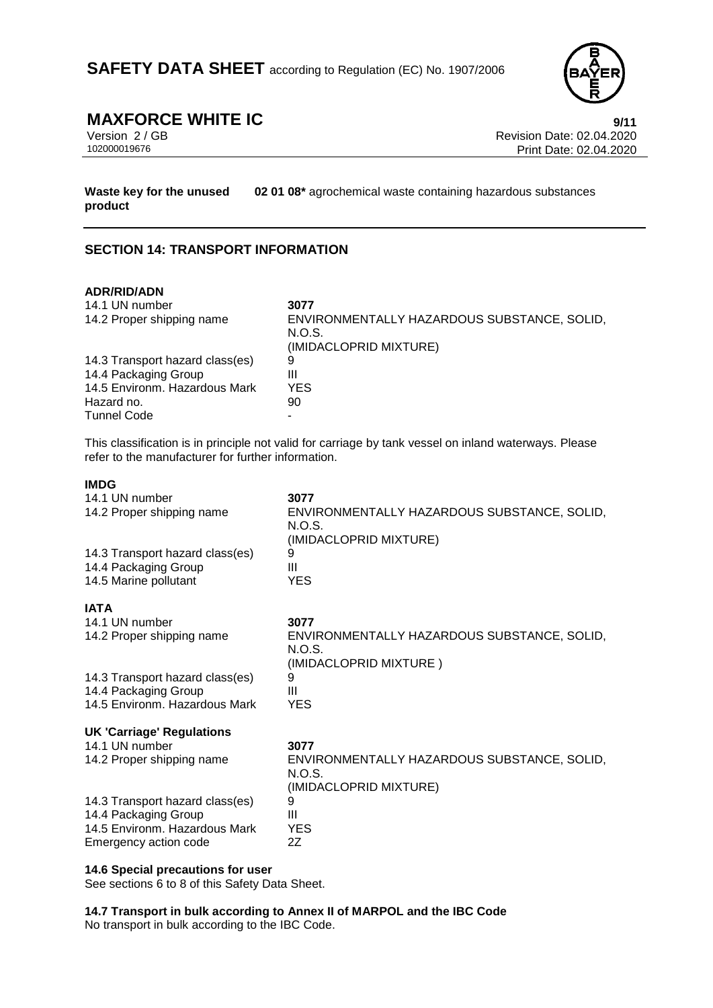

**MAXFORCE WHITE IC**<br>
Version 2 / GB<br>
Revision Date: 02.04.2020 Version 2 / GB Revision Date: 02.04.2020 Print Date: 02.04.2020

**Waste key for the unused product 02 01 08\*** agrochemical waste containing hazardous substances

## **SECTION 14: TRANSPORT INFORMATION**

#### **ADR/RID/ADN**

| 14.1 UN number                  | 3077                                        |
|---------------------------------|---------------------------------------------|
| 14.2 Proper shipping name       | ENVIRONMENTALLY HAZARDOUS SUBSTANCE, SOLID, |
|                                 | N.O.S.                                      |
|                                 | (IMIDACLOPRID MIXTURE)                      |
| 14.3 Transport hazard class(es) | 9                                           |
| 14.4 Packaging Group            | Ш                                           |
| 14.5 Environm. Hazardous Mark   | YES.                                        |
| Hazard no.                      | 90                                          |
| <b>Tunnel Code</b>              |                                             |

This classification is in principle not valid for carriage by tank vessel on inland waterways. Please refer to the manufacturer for further information.

#### **IMDG**

| 3077<br>ENVIRONMENTALLY HAZARDOUS SUBSTANCE, SOLID,<br>N.O.S.<br>(IMIDACLOPRID MIXTURE)<br>9<br>Ш<br><b>YES</b> |
|-----------------------------------------------------------------------------------------------------------------|
|                                                                                                                 |
| 3077                                                                                                            |
| ENVIRONMENTALLY HAZARDOUS SUBSTANCE, SOLID,<br>N.O.S.<br>(IMIDACLOPRID MIXTURE)                                 |
| 9                                                                                                               |
| Ш                                                                                                               |
| <b>YES</b>                                                                                                      |
|                                                                                                                 |
| 3077                                                                                                            |
| ENVIRONMENTALLY HAZARDOUS SUBSTANCE, SOLID,<br>N.O.S.                                                           |
| (IMIDACLOPRID MIXTURE)                                                                                          |
| 9<br>Ш                                                                                                          |
| <b>YES</b>                                                                                                      |
| 2Z                                                                                                              |
|                                                                                                                 |

#### **14.6 Special precautions for user**

See sections 6 to 8 of this Safety Data Sheet.

**14.7 Transport in bulk according to Annex II of MARPOL and the IBC Code** No transport in bulk according to the IBC Code.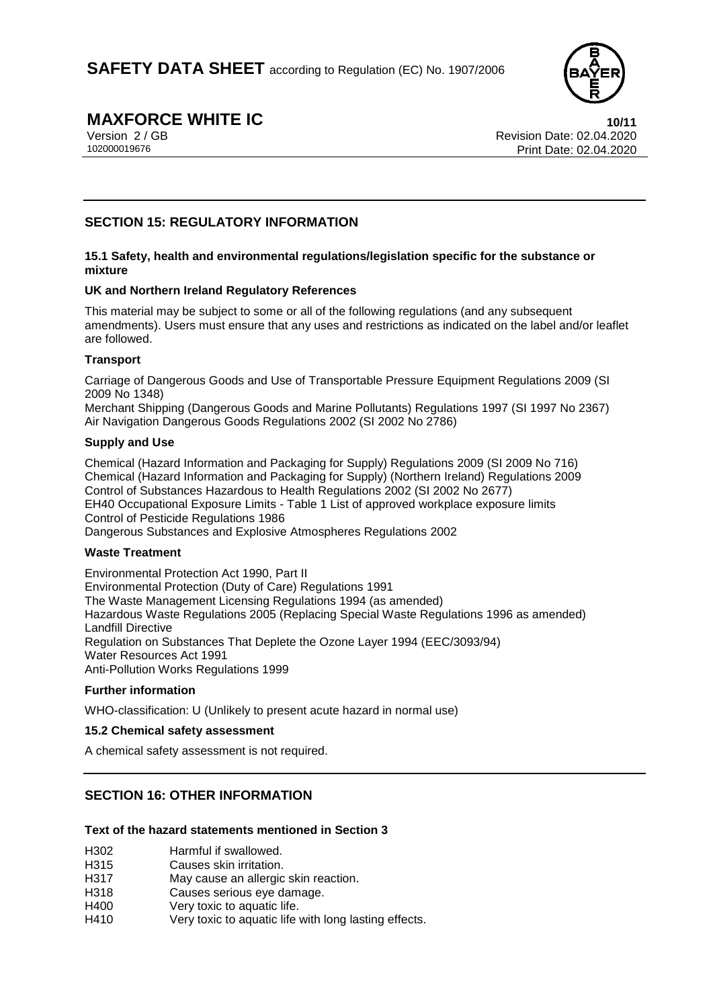

# **MAXFORCE WHITE IC** 10/11<br>
Version 2 / GB Revision Date: 02.04.2020

Version 2 / GB Revision Date: 02.04.2020 Print Date: 02.04.2020

# **SECTION 15: REGULATORY INFORMATION**

#### **15.1 Safety, health and environmental regulations/legislation specific for the substance or mixture**

#### **UK and Northern Ireland Regulatory References**

This material may be subject to some or all of the following regulations (and any subsequent amendments). Users must ensure that any uses and restrictions as indicated on the label and/or leaflet are followed.

#### **Transport**

Carriage of Dangerous Goods and Use of Transportable Pressure Equipment Regulations 2009 (SI 2009 No 1348)

Merchant Shipping (Dangerous Goods and Marine Pollutants) Regulations 1997 (SI 1997 No 2367) Air Navigation Dangerous Goods Regulations 2002 (SI 2002 No 2786)

#### **Supply and Use**

Chemical (Hazard Information and Packaging for Supply) Regulations 2009 (SI 2009 No 716) Chemical (Hazard Information and Packaging for Supply) (Northern Ireland) Regulations 2009 Control of Substances Hazardous to Health Regulations 2002 (SI 2002 No 2677) EH40 Occupational Exposure Limits - Table 1 List of approved workplace exposure limits Control of Pesticide Regulations 1986 Dangerous Substances and Explosive Atmospheres Regulations 2002

#### **Waste Treatment**

Environmental Protection Act 1990, Part II Environmental Protection (Duty of Care) Regulations 1991 The Waste Management Licensing Regulations 1994 (as amended) Hazardous Waste Regulations 2005 (Replacing Special Waste Regulations 1996 as amended) Landfill Directive Regulation on Substances That Deplete the Ozone Layer 1994 (EEC/3093/94) Water Resources Act 1991 Anti-Pollution Works Regulations 1999

### **Further information**

WHO-classification: U (Unlikely to present acute hazard in normal use)

### **15.2 Chemical safety assessment**

A chemical safety assessment is not required.

# **SECTION 16: OTHER INFORMATION**

#### **Text of the hazard statements mentioned in Section 3**

- H302 Harmful if swallowed.
- H315 Causes skin irritation.
- H317 May cause an allergic skin reaction.
- H318 Causes serious eye damage.
- H400 Very toxic to aquatic life.
- H410 Very toxic to aquatic life with long lasting effects.